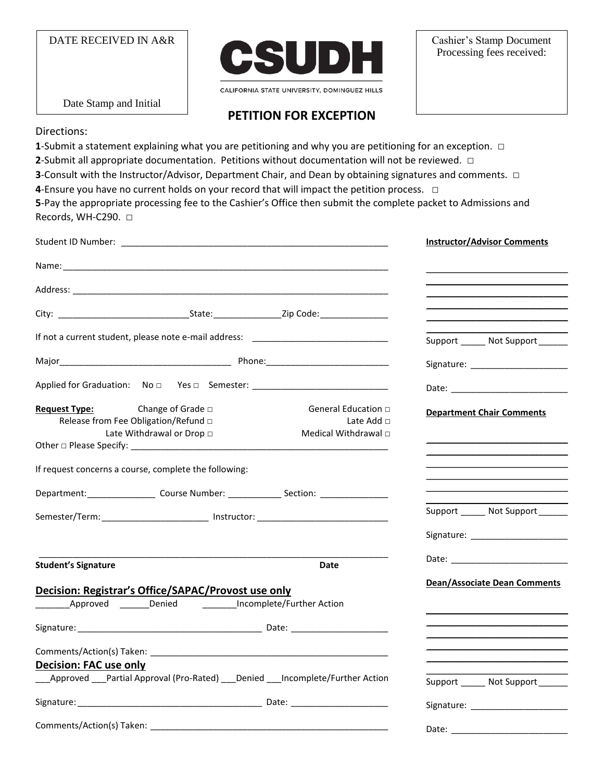DATE RECEIVED IN A&R



CALIFORNIA STATE UNIVERSITY, DOMINGUEZ HILLS

Cashier's Stamp Document Processing fees received:

Date Stamp and Initial

## **PETITION FOR EXCEPTION**

Directions:

**1**-Submit a statement explaining what you are petitioning and why you are petitioning for an exception. □

**2**-Submit all appropriate documentation. Petitions without documentation will not be reviewed. □

**3**-Consult with the Instructor/Advisor, Department Chair, and Dean by obtaining signatures and comments. □

**4**-Ensure you have no current holds on your record that will impact the petition process. □

**5**-Pay the appropriate processing fee to the Cashier's Office then submit the complete packet to Admissions and Records, WH-C290. □

|                                                                                                                   |                                                                     | <b>Instructor/Advisor Comments</b>                                                                 |
|-------------------------------------------------------------------------------------------------------------------|---------------------------------------------------------------------|----------------------------------------------------------------------------------------------------|
|                                                                                                                   |                                                                     |                                                                                                    |
|                                                                                                                   |                                                                     |                                                                                                    |
|                                                                                                                   |                                                                     |                                                                                                    |
| If not a current student, please note e-mail address: __________________________                                  |                                                                     | Support _______ Not Support _______                                                                |
|                                                                                                                   |                                                                     | Signature: ________________________                                                                |
| Applied for Graduation: No D Yes D Semester: ___________________________________                                  |                                                                     |                                                                                                    |
| Request Type: Change of Grade<br>Release from Fee Obligation/Refund $\Box$<br>Late Withdrawal or Drop $\Box$      | General Education □<br>Late Add $\Box$<br>Medical Withdrawal $\Box$ | <b>Department Chair Comments</b>                                                                   |
| If request concerns a course, complete the following:                                                             |                                                                     |                                                                                                    |
| Department: _____________________Course Number: ________________Section: _______________                          |                                                                     |                                                                                                    |
| Semester/Term: ___________________________ Instructor: _________________________                                  |                                                                     | Support _______ Not Support ______                                                                 |
| <b>Student's Signature</b>                                                                                        | Date                                                                |                                                                                                    |
| Decision: Registrar's Office/SAPAC/Provost use only                                                               |                                                                     | <b>Dean/Associate Dean Comments</b><br><u> 1989 - Johann Stoff, Amerikaansk politiker († 1908)</u> |
|                                                                                                                   |                                                                     |                                                                                                    |
|                                                                                                                   |                                                                     |                                                                                                    |
| <b>Decision: FAC use only</b><br>_Approved ___Partial Approval (Pro-Rated) ___Denied ___Incomplete/Further Action |                                                                     | Support _______ Not Support _______                                                                |
|                                                                                                                   |                                                                     |                                                                                                    |
|                                                                                                                   |                                                                     | Date:                                                                                              |